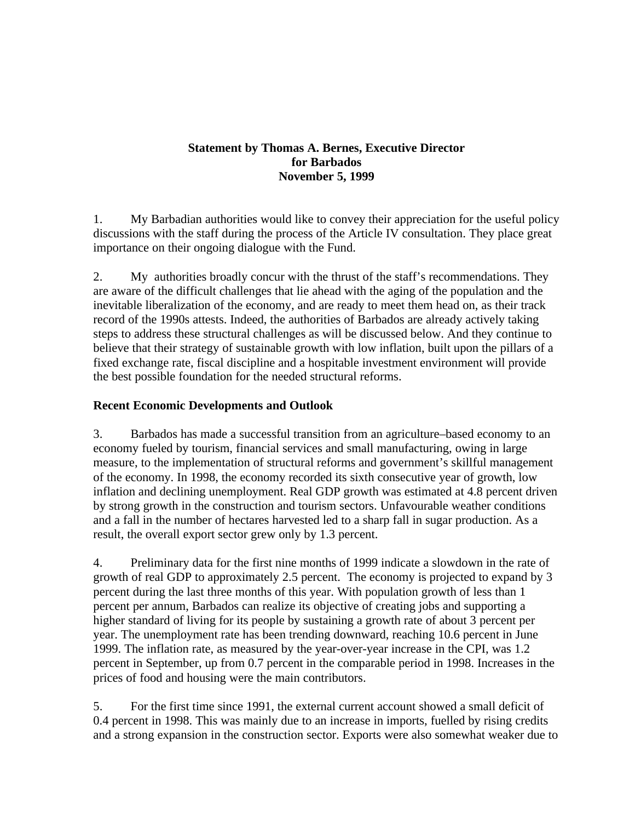#### **Statement by Thomas A. Bernes, Executive Director for Barbados November 5, 1999**

1. My Barbadian authorities would like to convey their appreciation for the useful policy discussions with the staff during the process of the Article IV consultation. They place great importance on their ongoing dialogue with the Fund.

2. My authorities broadly concur with the thrust of the staff's recommendations. They are aware of the difficult challenges that lie ahead with the aging of the population and the inevitable liberalization of the economy, and are ready to meet them head on, as their track record of the 1990s attests. Indeed, the authorities of Barbados are already actively taking steps to address these structural challenges as will be discussed below. And they continue to believe that their strategy of sustainable growth with low inflation, built upon the pillars of a fixed exchange rate, fiscal discipline and a hospitable investment environment will provide the best possible foundation for the needed structural reforms.

## **Recent Economic Developments and Outlook**

3. Barbados has made a successful transition from an agriculture–based economy to an economy fueled by tourism, financial services and small manufacturing, owing in large measure, to the implementation of structural reforms and government's skillful management of the economy. In 1998, the economy recorded its sixth consecutive year of growth, low inflation and declining unemployment. Real GDP growth was estimated at 4.8 percent driven by strong growth in the construction and tourism sectors. Unfavourable weather conditions and a fall in the number of hectares harvested led to a sharp fall in sugar production. As a result, the overall export sector grew only by 1.3 percent.

4. Preliminary data for the first nine months of 1999 indicate a slowdown in the rate of growth of real GDP to approximately 2.5 percent. The economy is projected to expand by 3 percent during the last three months of this year. With population growth of less than 1 percent per annum, Barbados can realize its objective of creating jobs and supporting a higher standard of living for its people by sustaining a growth rate of about 3 percent per year. The unemployment rate has been trending downward, reaching 10.6 percent in June 1999. The inflation rate, as measured by the year-over-year increase in the CPI, was 1.2 percent in September, up from 0.7 percent in the comparable period in 1998. Increases in the prices of food and housing were the main contributors.

5. For the first time since 1991, the external current account showed a small deficit of 0.4 percent in 1998. This was mainly due to an increase in imports, fuelled by rising credits and a strong expansion in the construction sector. Exports were also somewhat weaker due to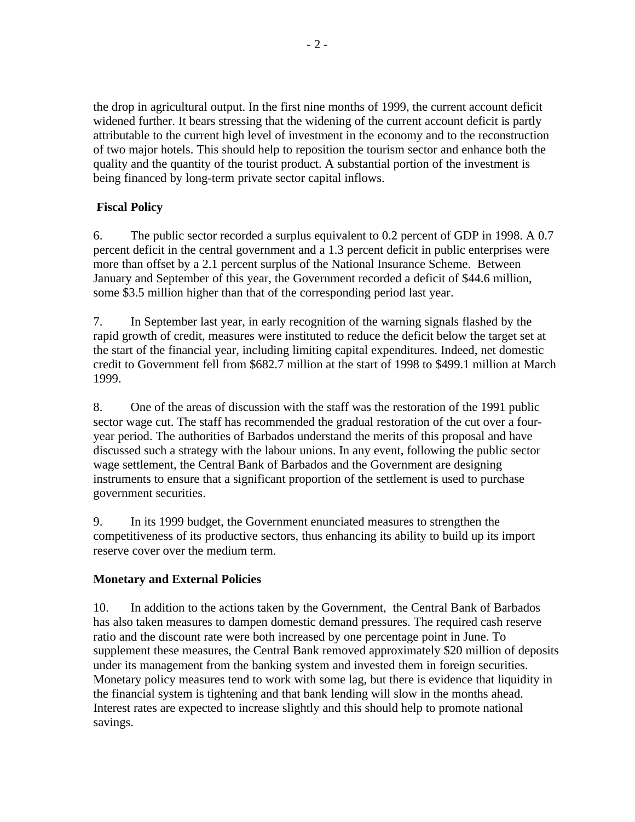the drop in agricultural output. In the first nine months of 1999, the current account deficit widened further. It bears stressing that the widening of the current account deficit is partly attributable to the current high level of investment in the economy and to the reconstruction of two major hotels. This should help to reposition the tourism sector and enhance both the quality and the quantity of the tourist product. A substantial portion of the investment is being financed by long-term private sector capital inflows.

# **Fiscal Policy**

6. The public sector recorded a surplus equivalent to 0.2 percent of GDP in 1998. A 0.7 percent deficit in the central government and a 1.3 percent deficit in public enterprises were more than offset by a 2.1 percent surplus of the National Insurance Scheme. Between January and September of this year, the Government recorded a deficit of \$44.6 million, some \$3.5 million higher than that of the corresponding period last year.

7. In September last year, in early recognition of the warning signals flashed by the rapid growth of credit, measures were instituted to reduce the deficit below the target set at the start of the financial year, including limiting capital expenditures. Indeed, net domestic credit to Government fell from \$682.7 million at the start of 1998 to \$499.1 million at March 1999.

8. One of the areas of discussion with the staff was the restoration of the 1991 public sector wage cut. The staff has recommended the gradual restoration of the cut over a fouryear period. The authorities of Barbados understand the merits of this proposal and have discussed such a strategy with the labour unions. In any event, following the public sector wage settlement, the Central Bank of Barbados and the Government are designing instruments to ensure that a significant proportion of the settlement is used to purchase government securities.

9. In its 1999 budget, the Government enunciated measures to strengthen the competitiveness of its productive sectors, thus enhancing its ability to build up its import reserve cover over the medium term.

### **Monetary and External Policies**

10. In addition to the actions taken by the Government, the Central Bank of Barbados has also taken measures to dampen domestic demand pressures. The required cash reserve ratio and the discount rate were both increased by one percentage point in June. To supplement these measures, the Central Bank removed approximately \$20 million of deposits under its management from the banking system and invested them in foreign securities. Monetary policy measures tend to work with some lag, but there is evidence that liquidity in the financial system is tightening and that bank lending will slow in the months ahead. Interest rates are expected to increase slightly and this should help to promote national savings.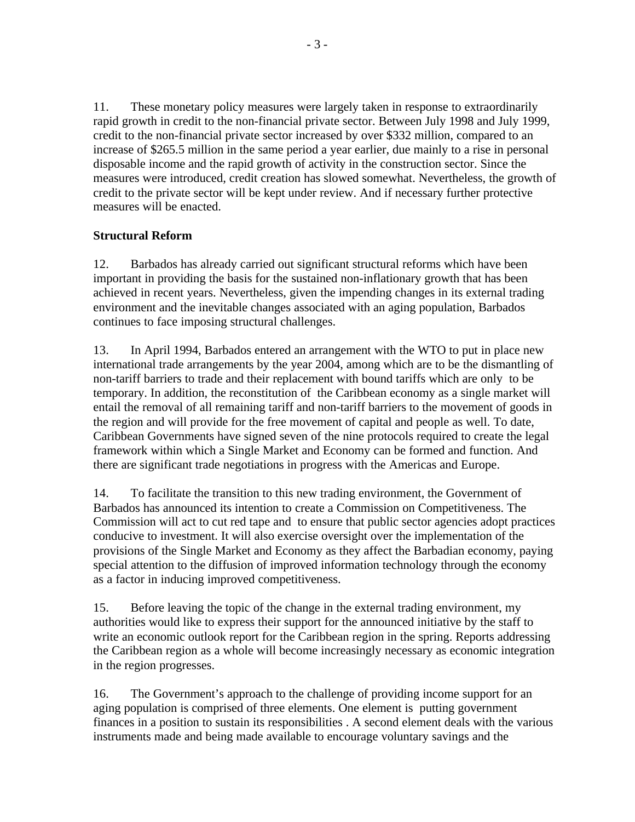11. These monetary policy measures were largely taken in response to extraordinarily rapid growth in credit to the non-financial private sector. Between July 1998 and July 1999, credit to the non-financial private sector increased by over \$332 million, compared to an increase of \$265.5 million in the same period a year earlier, due mainly to a rise in personal disposable income and the rapid growth of activity in the construction sector. Since the measures were introduced, credit creation has slowed somewhat. Nevertheless, the growth of credit to the private sector will be kept under review. And if necessary further protective measures will be enacted.

### **Structural Reform**

12. Barbados has already carried out significant structural reforms which have been important in providing the basis for the sustained non-inflationary growth that has been achieved in recent years. Nevertheless, given the impending changes in its external trading environment and the inevitable changes associated with an aging population, Barbados continues to face imposing structural challenges.

13. In April 1994, Barbados entered an arrangement with the WTO to put in place new international trade arrangements by the year 2004, among which are to be the dismantling of non-tariff barriers to trade and their replacement with bound tariffs which are only to be temporary. In addition, the reconstitution of the Caribbean economy as a single market will entail the removal of all remaining tariff and non-tariff barriers to the movement of goods in the region and will provide for the free movement of capital and people as well. To date, Caribbean Governments have signed seven of the nine protocols required to create the legal framework within which a Single Market and Economy can be formed and function. And there are significant trade negotiations in progress with the Americas and Europe.

14. To facilitate the transition to this new trading environment, the Government of Barbados has announced its intention to create a Commission on Competitiveness. The Commission will act to cut red tape and to ensure that public sector agencies adopt practices conducive to investment. It will also exercise oversight over the implementation of the provisions of the Single Market and Economy as they affect the Barbadian economy, paying special attention to the diffusion of improved information technology through the economy as a factor in inducing improved competitiveness.

15. Before leaving the topic of the change in the external trading environment, my authorities would like to express their support for the announced initiative by the staff to write an economic outlook report for the Caribbean region in the spring. Reports addressing the Caribbean region as a whole will become increasingly necessary as economic integration in the region progresses.

16. The Government's approach to the challenge of providing income support for an aging population is comprised of three elements. One element is putting government finances in a position to sustain its responsibilities . A second element deals with the various instruments made and being made available to encourage voluntary savings and the